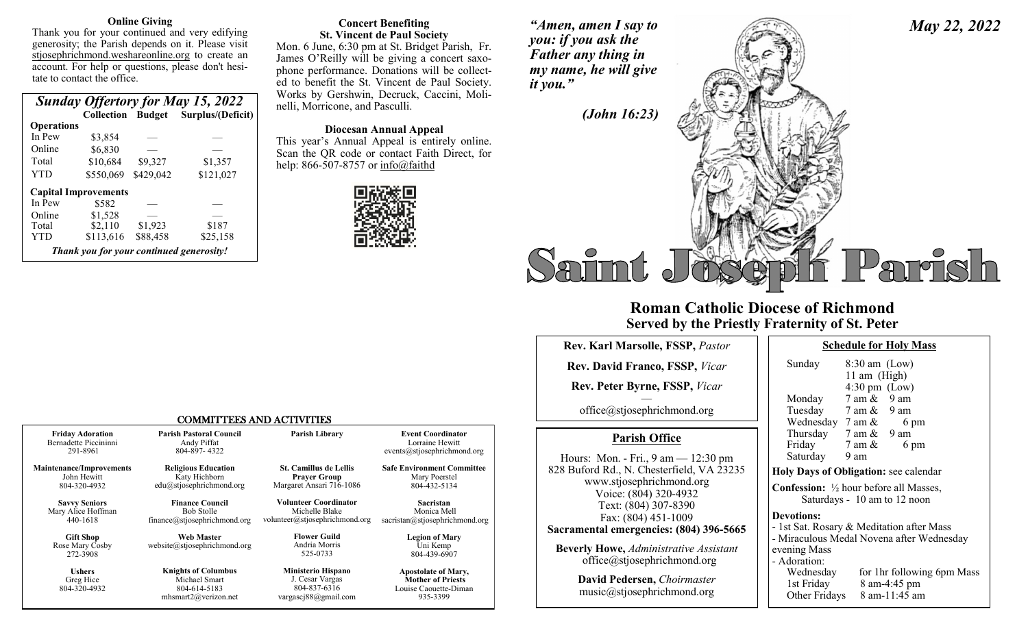#### **Online Giving**

Thank you for your continued and very edifying generosity; the Parish depends on it. Please visit stjosephrichmond.weshareonline.org to create an account. For help or questions, please don't hesitate to contact the office.

| <b>Sunday Offertory for May 15, 2022</b> |                                          |           |                                     |  |
|------------------------------------------|------------------------------------------|-----------|-------------------------------------|--|
|                                          |                                          |           | Collection Budget Surplus/(Deficit) |  |
| <b>Operations</b>                        |                                          |           |                                     |  |
| In Pew                                   | \$3,854                                  |           |                                     |  |
| Online                                   | \$6,830                                  |           |                                     |  |
| Total                                    | \$10,684                                 | \$9,327   | \$1,357                             |  |
| YTD                                      | \$550,069                                | \$429,042 | \$121,027                           |  |
|                                          | <b>Capital Improvements</b>              |           |                                     |  |
| In Pew                                   | \$582                                    |           |                                     |  |
| Online                                   | \$1,528                                  |           |                                     |  |
| Total                                    | \$2,110                                  | \$1,923   | \$187                               |  |
| YTD                                      | \$113,616                                | \$88,458  | \$25,158                            |  |
|                                          | Thank you for your continued generosity! |           |                                     |  |

#### **Concert Benefiting St. Vincent de Paul Society**

Mon. 6 June, 6:30 pm at St. Bridget Parish, Fr. James O'Reilly will be giving a concert saxophone performance. Donations will be collected to benefit the St. Vincent de Paul Society. Works by Gershwin, Decruck, Caccini, Molinelli, Morricone, and Pasculli.

**Diocesan Annual Appeal**

This year's Annual Appeal is entirely online. Scan the QR code or contact Faith Direct, for help:  $866 - 507 - 8757$  or  $\text{info}(\omega)$  faithd



*"Amen, amen I say to you: if you ask the Father any thing in my name, he will give it you."* 

*May 22, 2022*



## **Roman Catholic Diocese of Richmond Served by the Priestly Fraternity of St. Peter**

| Rev. Karl Marsolle, FSSP, Pastor                                                 | <b>Schedule for Holy Ma</b>                                                                    |
|----------------------------------------------------------------------------------|------------------------------------------------------------------------------------------------|
| <b>Rev. David Franco, FSSP, Vicar</b>                                            | Sunday<br>$8:30$ am (Low)                                                                      |
| Rev. Peter Byrne, FSSP, Vicar                                                    | 11 am (High)<br>$4:30 \text{ pm}$ (Low)                                                        |
| office@stjosephrichmond.org                                                      | 7 am &<br>9 am<br>Monday<br>Tuesday 7 am & 9 am<br>Wednesday $7 \text{ am } \&$<br>6 pm        |
| <b>Parish Office</b>                                                             | Thursday $7 \text{ am } \& 9 \text{ am}$<br>Friday<br>$7 \text{ am } \&$<br>6 pm               |
| Hours: Mon. - Fri., 9 am — 12:30 pm<br>828 Buford Rd., N. Chesterfield, VA 23235 | Saturday<br>9 am<br>Holy Days of Obligation: see caler                                         |
| www.stjosephrichmond.org<br>Voice: (804) 320-4932<br>Text: (804) 307-8390        | <b>Confession:</b> $\frac{1}{2}$ hour before all Mas<br>Saturdays - 10 am to 12 noor           |
| Fax: (804) 451-1009<br>Sacramental emergencies: (804) 396-5665                   | <b>Devotions:</b><br>- 1st Sat. Rosary & Meditation after<br>- Miraculous Medal Novena after W |
| <b>Beverly Howe, Administrative Assistant</b><br>office@stjosephrichmond.org     | evening Mass<br>- Adoration:                                                                   |
| David Pedersen, Choirmaster<br>music@stjosephrichmond.org                        | Wednesday<br>for 1hr followin<br>1st Friday<br>8 am-4:45 pm<br>Other Fridays<br>8 am-11:45 am  |

| <b>Schedule for Holy Mass</b> |
|-------------------------------|
|-------------------------------|

| Sunday                                                   | $8:30$ am (Low)                 |                                           |  |
|----------------------------------------------------------|---------------------------------|-------------------------------------------|--|
|                                                          | 11 am (High)                    |                                           |  |
|                                                          | $4:30 \text{ pm}$ (Low)         |                                           |  |
| Monday 7 am & 9 am                                       |                                 |                                           |  |
| Tuesday 7 am & 9 am                                      |                                 |                                           |  |
| Wednesday $7 \text{ am } \& 6 \text{ pm}$                |                                 |                                           |  |
| Thursday $7 \text{ am } \& 9 \text{ am}$                 |                                 |                                           |  |
| Friday                                                   | $7 \text{ am } \& 6 \text{ pm}$ |                                           |  |
| Saturday 9 am                                            |                                 |                                           |  |
| Holy Days of Obligation: see calendar                    |                                 |                                           |  |
| <b>Confession:</b> $\frac{1}{2}$ hour before all Masses, |                                 | Saturdays - 10 am to 12 noon              |  |
| <b>Devotions:</b>                                        |                                 |                                           |  |
| - 1st Sat. Rosary & Meditation after Mass                |                                 |                                           |  |
|                                                          |                                 | - Miraculous Medal Novena after Wednesday |  |
| evening Mass                                             |                                 |                                           |  |
| - Adoration:                                             |                                 |                                           |  |
| Wednesday                                                |                                 | for 1hr following 6pm Mass                |  |
| 1st Friday                                               |                                 | 8 am-4:45 pm                              |  |
|                                                          |                                 |                                           |  |

#### COMMITTEES AND ACTIVITIES

| <b>Friday Adoration</b>                         | <b>Parish Pastoral Council</b>                                                             | Parish Library                                                                           | <b>Event Coordinator</b>                                                                    |
|-------------------------------------------------|--------------------------------------------------------------------------------------------|------------------------------------------------------------------------------------------|---------------------------------------------------------------------------------------------|
| Bernadette Piccininni                           | Andy Piffat                                                                                |                                                                                          | Lorraine Hewitt                                                                             |
| 291-8961                                        | 804-897-4322                                                                               |                                                                                          | events@stjosephrichmond.org                                                                 |
| <b>Maintenance/Improvements</b>                 | <b>Religious Education</b>                                                                 | <b>St. Camillus de Lellis</b>                                                            | <b>Safe Environment Committee</b>                                                           |
| John Hewitt                                     | Katy Hichborn                                                                              | <b>Praver Group</b>                                                                      | Mary Poerstel                                                                               |
| 804-320-4932                                    | $edu(a)$ stjosephrichmond.org                                                              | Margaret Ansari 716-1086                                                                 | 804-432-5134                                                                                |
| <b>Savvy Seniors</b>                            | <b>Finance Council</b>                                                                     | <b>Volunteer Coordinator</b>                                                             | Sacristan                                                                                   |
| Mary Alice Hoffman                              | <b>Bob Stolle</b>                                                                          | Michelle Blake                                                                           | Monica Mell                                                                                 |
| 440-1618                                        | finance@stjosephrichmond.org                                                               | volunteer@stjosephrichmond.org                                                           | sacristan@stjosephrichmond.org                                                              |
| <b>Gift Shop</b><br>Rose Mary Cosby<br>272-3908 | <b>Web Master</b><br>website@stjosephrichmond.org                                          | <b>Flower Guild</b><br>Andria Morris<br>525-0733                                         | <b>Legion of Mary</b><br>Uni Kemp<br>804-439-6907                                           |
| <b>Ushers</b><br>Greg Hice<br>804-320-4932      | <b>Knights of Columbus</b><br>Michael Smart<br>804-614-5183<br>$m$ hsmart $2@$ verizon.net | <b>Ministerio Hispano</b><br>J. Cesar Vargas<br>804-837-6316<br>vargasci $88@$ gmail.com | <b>Apostolate of Mary,</b><br><b>Mother of Priests</b><br>Louise Caouette-Diman<br>935-3399 |